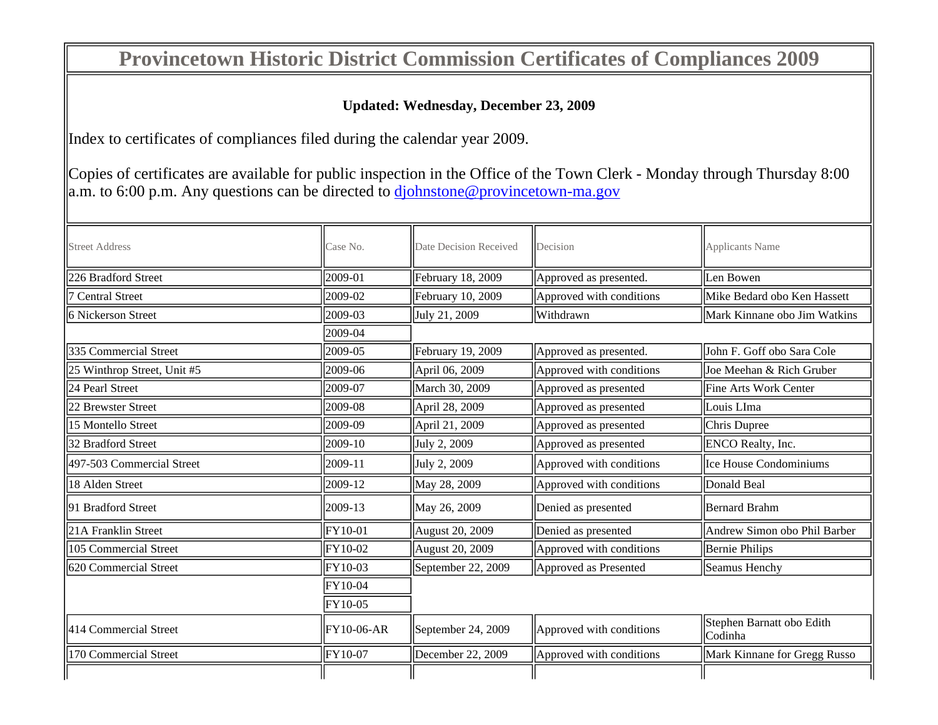## **Provincetown Historic District Commission Certificates of Compliances 2009**

## **Updated: Wednesday, December 23, 2009**

Index to certificates of compliances filed during the calendar year 2009.

Copies of certificates are available for public inspection in the Office of the Town Clerk - Monday through Thursday 8:00  $\parallel$ a.m. to 6:00 p.m. Any questions can be directed to djohnstone@provincetown-ma.gov

| <b>Street Address</b>       | Case No.       | Date Decision Received | Decision                                  | Applicants Name                      |  |
|-----------------------------|----------------|------------------------|-------------------------------------------|--------------------------------------|--|
| 226 Bradford Street         | 2009-01        | February 18, 2009      | Approved as presented.                    | Len Bowen                            |  |
| <b>Central Street</b>       | 2009-02        | February 10, 2009      | Approved with conditions                  | Mike Bedard obo Ken Hassett          |  |
| 6 Nickerson Street          | 2009-03        | July 21, 2009          | Withdrawn<br>Mark Kinnane obo Jim Watkins |                                      |  |
|                             | 2009-04        |                        |                                           |                                      |  |
| 335 Commercial Street       | 2009-05        | February 19, 2009      | Approved as presented.                    | John F. Goff obo Sara Cole           |  |
| 25 Winthrop Street, Unit #5 | 2009-06        | April 06, 2009         | Approved with conditions                  | Joe Meehan & Rich Gruber             |  |
| 24 Pearl Street             | 2009-07        | March 30, 2009         | Approved as presented                     | Fine Arts Work Center                |  |
| 22 Brewster Street          | 2009-08        | April 28, 2009         | Approved as presented                     | Louis LIma                           |  |
| 15 Montello Street          | 2009-09        | April 21, 2009         | Approved as presented                     | Chris Dupree                         |  |
| 32 Bradford Street          | 2009-10        | July 2, 2009           | Approved as presented                     | ENCO Realty, Inc.                    |  |
| 497-503 Commercial Street   | 2009-11        | July 2, 2009           | Approved with conditions                  | Ice House Condominiums               |  |
| 18 Alden Street             | 2009-12        | May 28, 2009           | Approved with conditions                  | Donald Beal                          |  |
| 91 Bradford Street          | 2009-13        | May 26, 2009           | Denied as presented                       | <b>Bernard Brahm</b>                 |  |
| 21A Franklin Street         | <b>FY10-01</b> | August 20, 2009        | Denied as presented                       | Andrew Simon obo Phil Barber         |  |
| 105 Commercial Street       | FY10-02        | August 20, 2009        | Approved with conditions                  | <b>Bernie Philips</b>                |  |
| 620 Commercial Street       | FY10-03        | September 22, 2009     | Approved as Presented                     | Seamus Henchy                        |  |
|                             | FY10-04        |                        |                                           |                                      |  |
|                             | FY10-05        |                        |                                           |                                      |  |
| 414 Commercial Street       | $ FY10-06-AR$  | September 24, 2009     | Approved with conditions                  | Stephen Barnatt obo Edith<br>Codinha |  |
| 170 Commercial Street       | FY10-07        | December 22, 2009      | Approved with conditions                  | Mark Kinnane for Gregg Russo         |  |
|                             |                |                        |                                           |                                      |  |